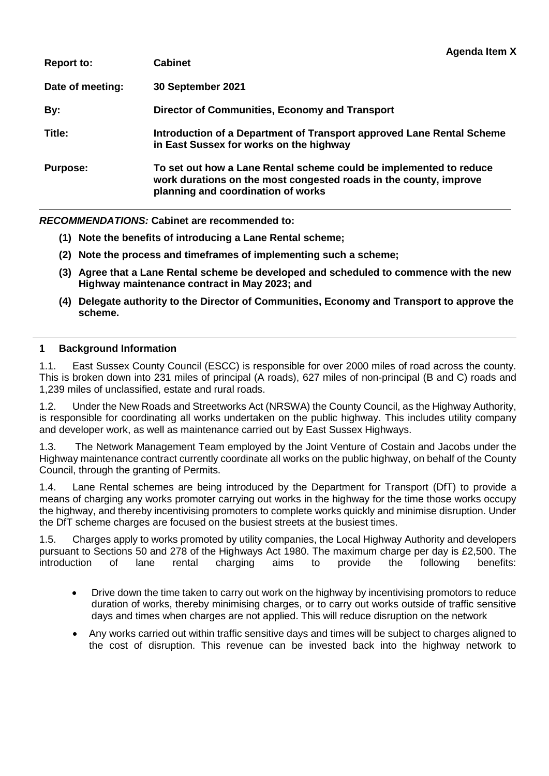| <b>Cabinet</b>                                                                                                                                                                |
|-------------------------------------------------------------------------------------------------------------------------------------------------------------------------------|
| 30 September 2021                                                                                                                                                             |
| Director of Communities, Economy and Transport                                                                                                                                |
| Introduction of a Department of Transport approved Lane Rental Scheme<br>in East Sussex for works on the highway                                                              |
| To set out how a Lane Rental scheme could be implemented to reduce<br>work durations on the most congested roads in the county, improve<br>planning and coordination of works |
|                                                                                                                                                                               |

**Agenda Item X**

*RECOMMENDATIONS:* **Cabinet are recommended to:**

- **(1) Note the benefits of introducing a Lane Rental scheme;**
- **(2) Note the process and timeframes of implementing such a scheme;**
- **(3) Agree that a Lane Rental scheme be developed and scheduled to commence with the new Highway maintenance contract in May 2023; and**
- **(4) Delegate authority to the Director of Communities, Economy and Transport to approve the scheme.**

#### **1 Background Information**

1.1. East Sussex County Council (ESCC) is responsible for over 2000 miles of road across the county. This is broken down into 231 miles of principal (A roads), 627 miles of non-principal (B and C) roads and 1,239 miles of unclassified, estate and rural roads.

1.2. Under the New Roads and Streetworks Act (NRSWA) the County Council, as the Highway Authority, is responsible for coordinating all works undertaken on the public highway. This includes utility company and developer work, as well as maintenance carried out by East Sussex Highways.

1.3. The Network Management Team employed by the Joint Venture of Costain and Jacobs under the Highway maintenance contract currently coordinate all works on the public highway, on behalf of the County Council, through the granting of Permits.

1.4. Lane Rental schemes are being introduced by the Department for Transport (DfT) to provide a means of charging any works promoter carrying out works in the highway for the time those works occupy the highway, and thereby incentivising promoters to complete works quickly and minimise disruption. Under the DfT scheme charges are focused on the busiest streets at the busiest times.

1.5. Charges apply to works promoted by utility companies, the Local Highway Authority and developers pursuant to Sections 50 and 278 of the Highways Act 1980. The maximum charge per day is £2,500. The introduction of lane rental charging aims to provide the following benefits:

- Drive down the time taken to carry out work on the highway by incentivising promotors to reduce duration of works, thereby minimising charges, or to carry out works outside of traffic sensitive days and times when charges are not applied. This will reduce disruption on the network
- Any works carried out within traffic sensitive days and times will be subject to charges aligned to the cost of disruption. This revenue can be invested back into the highway network to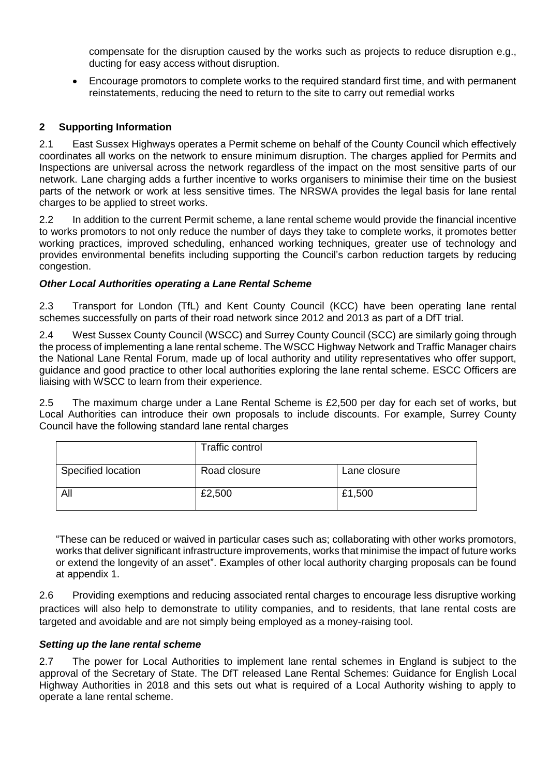compensate for the disruption caused by the works such as projects to reduce disruption e.g., ducting for easy access without disruption.

 Encourage promotors to complete works to the required standard first time, and with permanent reinstatements, reducing the need to return to the site to carry out remedial works

### **2 Supporting Information**

2.1 East Sussex Highways operates a Permit scheme on behalf of the County Council which effectively coordinates all works on the network to ensure minimum disruption. The charges applied for Permits and Inspections are universal across the network regardless of the impact on the most sensitive parts of our network. Lane charging adds a further incentive to works organisers to minimise their time on the busiest parts of the network or work at less sensitive times. The NRSWA provides the legal basis for lane rental charges to be applied to street works.

2.2 In addition to the current Permit scheme, a lane rental scheme would provide the financial incentive to works promotors to not only reduce the number of days they take to complete works, it promotes better working practices, improved scheduling, enhanced working techniques, greater use of technology and provides environmental benefits including supporting the Council's carbon reduction targets by reducing congestion.

### *Other Local Authorities operating a Lane Rental Scheme*

2.3 Transport for London (TfL) and Kent County Council (KCC) have been operating lane rental schemes successfully on parts of their road network since 2012 and 2013 as part of a DfT trial.

2.4 West Sussex County Council (WSCC) and Surrey County Council (SCC) are similarly going through the process of implementing a lane rental scheme. The WSCC Highway Network and Traffic Manager chairs the National Lane Rental Forum, made up of local authority and utility representatives who offer support, guidance and good practice to other local authorities exploring the lane rental scheme. ESCC Officers are liaising with WSCC to learn from their experience.

2.5 The maximum charge under a Lane Rental Scheme is £2,500 per day for each set of works, but Local Authorities can introduce their own proposals to include discounts. For example, Surrey County Council have the following standard lane rental charges

|                    | Traffic control |              |
|--------------------|-----------------|--------------|
| Specified location | Road closure    | Lane closure |
| All                | £2,500          | £1,500       |

"These can be reduced or waived in particular cases such as; collaborating with other works promotors, works that deliver significant infrastructure improvements, works that minimise the impact of future works or extend the longevity of an asset". Examples of other local authority charging proposals can be found at appendix 1.

2.6 Providing exemptions and reducing associated rental charges to encourage less disruptive working practices will also help to demonstrate to utility companies, and to residents, that lane rental costs are targeted and avoidable and are not simply being employed as a money-raising tool.

#### *Setting up the lane rental scheme*

2.7 The power for Local Authorities to implement lane rental schemes in England is subject to the approval of the Secretary of State. The DfT released Lane Rental Schemes: Guidance for English Local Highway Authorities in 2018 and this sets out what is required of a Local Authority wishing to apply to operate a lane rental scheme.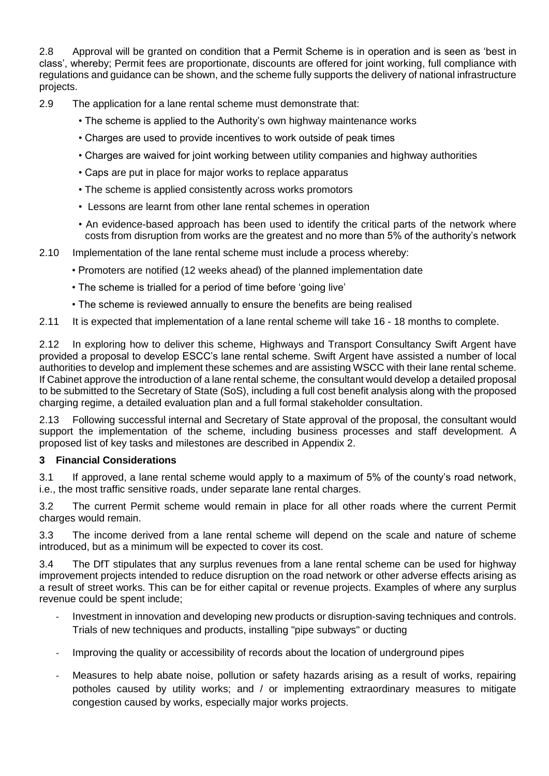2.8 Approval will be granted on condition that a Permit Scheme is in operation and is seen as 'best in class', whereby; Permit fees are proportionate, discounts are offered for joint working, full compliance with regulations and guidance can be shown, and the scheme fully supports the delivery of national infrastructure projects.

- 2.9 The application for a lane rental scheme must demonstrate that:
	- The scheme is applied to the Authority's own highway maintenance works
	- Charges are used to provide incentives to work outside of peak times
	- Charges are waived for joint working between utility companies and highway authorities
	- Caps are put in place for major works to replace apparatus
	- The scheme is applied consistently across works promotors
	- Lessons are learnt from other lane rental schemes in operation
	- An evidence-based approach has been used to identify the critical parts of the network where costs from disruption from works are the greatest and no more than 5% of the authority's network
- 2.10 Implementation of the lane rental scheme must include a process whereby:
	- Promoters are notified (12 weeks ahead) of the planned implementation date
	- The scheme is trialled for a period of time before 'going live'
	- The scheme is reviewed annually to ensure the benefits are being realised

2.11 It is expected that implementation of a lane rental scheme will take 16 - 18 months to complete.

2.12 In exploring how to deliver this scheme, Highways and Transport Consultancy Swift Argent have provided a proposal to develop ESCC's lane rental scheme. Swift Argent have assisted a number of local authorities to develop and implement these schemes and are assisting WSCC with their lane rental scheme. If Cabinet approve the introduction of a lane rental scheme, the consultant would develop a detailed proposal to be submitted to the Secretary of State (SoS), including a full cost benefit analysis along with the proposed charging regime, a detailed evaluation plan and a full formal stakeholder consultation.

2.13 Following successful internal and Secretary of State approval of the proposal, the consultant would support the implementation of the scheme, including business processes and staff development. A proposed list of key tasks and milestones are described in Appendix 2.

## **3 Financial Considerations**

3.1 If approved, a lane rental scheme would apply to a maximum of 5% of the county's road network, i.e., the most traffic sensitive roads, under separate lane rental charges.

3.2 The current Permit scheme would remain in place for all other roads where the current Permit charges would remain.

3.3 The income derived from a lane rental scheme will depend on the scale and nature of scheme introduced, but as a minimum will be expected to cover its cost.

3.4 The DfT stipulates that any surplus revenues from a lane rental scheme can be used for highway improvement projects intended to reduce disruption on the road network or other adverse effects arising as a result of street works. This can be for either capital or revenue projects. Examples of where any surplus revenue could be spent include;

- Investment in innovation and developing new products or disruption-saving techniques and controls. Trials of new techniques and products, installing "pipe subways" or ducting
- Improving the quality or accessibility of records about the location of underground pipes
- Measures to help abate noise, pollution or safety hazards arising as a result of works, repairing potholes caused by utility works; and / or implementing extraordinary measures to mitigate congestion caused by works, especially major works projects.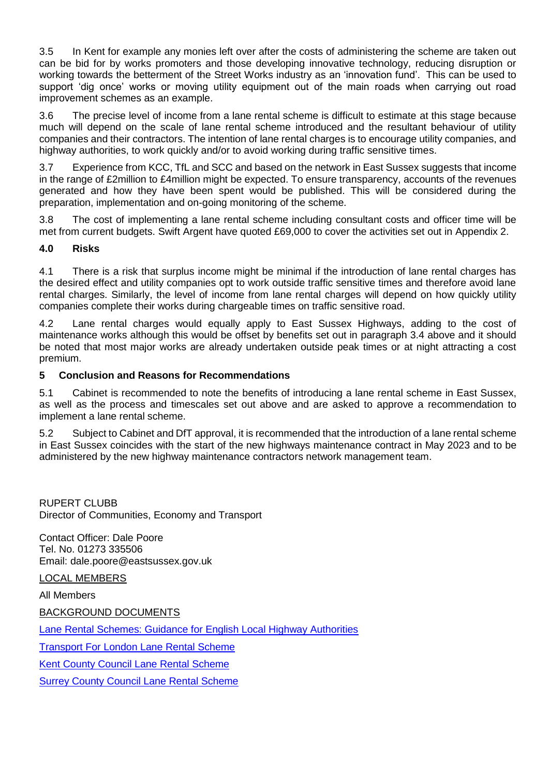3.5 In Kent for example any monies left over after the costs of administering the scheme are taken out can be bid for by works promoters and those developing innovative technology, reducing disruption or working towards the betterment of the Street Works industry as an 'innovation fund'. This can be used to support 'dig once' works or moving utility equipment out of the main roads when carrying out road improvement schemes as an example.

3.6 The precise level of income from a lane rental scheme is difficult to estimate at this stage because much will depend on the scale of lane rental scheme introduced and the resultant behaviour of utility companies and their contractors. The intention of lane rental charges is to encourage utility companies, and highway authorities, to work quickly and/or to avoid working during traffic sensitive times.

3.7 Experience from KCC, TfL and SCC and based on the network in East Sussex suggests that income in the range of £2million to £4million might be expected. To ensure transparency, accounts of the revenues generated and how they have been spent would be published. This will be considered during the preparation, implementation and on-going monitoring of the scheme.

3.8 The cost of implementing a lane rental scheme including consultant costs and officer time will be met from current budgets. Swift Argent have quoted £69,000 to cover the activities set out in Appendix 2.

## **4.0 Risks**

4.1 There is a risk that surplus income might be minimal if the introduction of lane rental charges has the desired effect and utility companies opt to work outside traffic sensitive times and therefore avoid lane rental charges. Similarly, the level of income from lane rental charges will depend on how quickly utility companies complete their works during chargeable times on traffic sensitive road.

4.2 Lane rental charges would equally apply to East Sussex Highways, adding to the cost of maintenance works although this would be offset by benefits set out in paragraph 3.4 above and it should be noted that most major works are already undertaken outside peak times or at night attracting a cost premium.

### **5 Conclusion and Reasons for Recommendations**

5.1 Cabinet is recommended to note the benefits of introducing a lane rental scheme in East Sussex, as well as the process and timescales set out above and are asked to approve a recommendation to implement a lane rental scheme.

5.2 Subject to Cabinet and DfT approval, it is recommended that the introduction of a lane rental scheme in East Sussex coincides with the start of the new highways maintenance contract in May 2023 and to be administered by the new highway maintenance contractors network management team.

RUPERT CLUBB Director of Communities, Economy and Transport

Contact Officer: Dale Poore Tel. No. 01273 335506 Email: dale.poore@eastsussex.gov.uk

LOCAL MEMBERS

All Members

BACKGROUND DOCUMENTS

[Lane Rental Schemes: Guidance for English Local Highway Authorities](https://assets.publishing.service.gov.uk/government/uploads/system/uploads/attachment_data/file/819199/lane-rental-bidding-guidance.pdf)

Transport For [London Lane Rental Scheme](https://tfl.gov.uk/info-for/urban-planning-and-construction/our-land-and-infrastructure/lane-rental-scheme#on-this-page-0)

[Kent County Council Lane Rental Scheme](https://www.kent.gov.uk/roads-and-travel/highway-permits-and-licences/kent-lane-rental-scheme) 

[Surrey County Council Lane Rental Scheme](https://www.surreysays.co.uk/environment-and-infrastructure/f7776765/supporting_documents/Surrey_Lane_Rental_Scheme_Consultation_Overview__CBA_B2.pdf)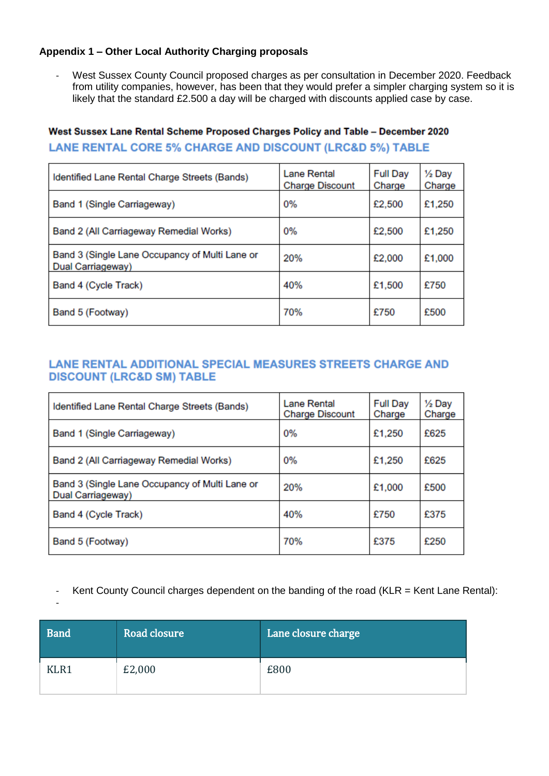## **Appendix 1 – Other Local Authority Charging proposals**

- West Sussex County Council proposed charges as per consultation in December 2020. Feedback from utility companies, however, has been that they would prefer a simpler charging system so it is likely that the standard £2.500 a day will be charged with discounts applied case by case.

# West Sussex Lane Rental Scheme Proposed Charges Policy and Table - December 2020 **LANE RENTAL CORE 5% CHARGE AND DISCOUNT (LRC&D 5%) TABLE**

| Identified Lane Rental Charge Streets (Bands)                       | Lane Rental<br><b>Charge Discount</b> | <b>Full Day</b><br>Charge | $\frac{1}{2}$ Day<br>Charge |
|---------------------------------------------------------------------|---------------------------------------|---------------------------|-----------------------------|
| Band 1 (Single Carriageway)                                         | 0%                                    | £2,500                    | £1,250                      |
| Band 2 (All Carriageway Remedial Works)                             | 0%                                    | £2,500                    | £1,250                      |
| Band 3 (Single Lane Occupancy of Multi Lane or<br>Dual Carriageway) | 20%                                   | £2,000                    | £1,000                      |
| Band 4 (Cycle Track)                                                | 40%                                   | £1,500                    | £750                        |
| Band 5 (Footway)                                                    | 70%                                   | £750                      | £500                        |

# LANE RENTAL ADDITIONAL SPECIAL MEASURES STREETS CHARGE AND **DISCOUNT (LRC&D SM) TABLE**

| Identified Lane Rental Charge Streets (Bands)                       | <b>Lane Rental</b><br><b>Charge Discount</b> | <b>Full Day</b><br>Charge | 1/ <sub>2</sub> Day<br>Charge |
|---------------------------------------------------------------------|----------------------------------------------|---------------------------|-------------------------------|
| Band 1 (Single Carriageway)                                         | 0%                                           | £1,250                    | £625                          |
| Band 2 (All Carriageway Remedial Works)                             | 0%                                           | £1,250                    | £625                          |
| Band 3 (Single Lane Occupancy of Multi Lane or<br>Dual Carriageway) | 20%                                          | £1,000                    | £500                          |
| Band 4 (Cycle Track)                                                | 40%                                          | £750                      | £375                          |
| Band 5 (Footway)                                                    | 70%                                          | £375                      | £250                          |

- Kent County Council charges dependent on the banding of the road (KLR = Kent Lane Rental):

<sup>-</sup>

| <b>Band</b> | Road closure | Lane closure charge |
|-------------|--------------|---------------------|
| KLR1        | £2,000       | £800                |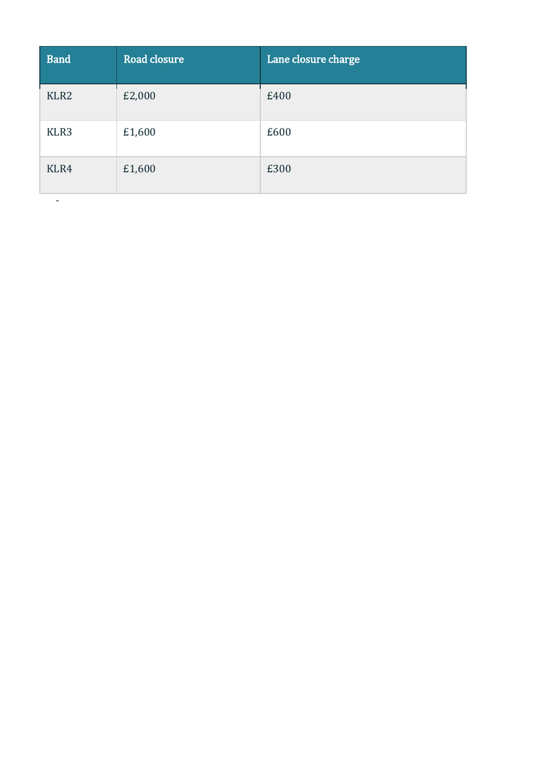| <b>Band</b>      | <b>Road closure</b> | Lane closure charge |
|------------------|---------------------|---------------------|
| KLR <sub>2</sub> | £2,000              | £400                |
| KLR3             | £1,600              | £600                |
| KLR4             | £1,600              | £300                |

-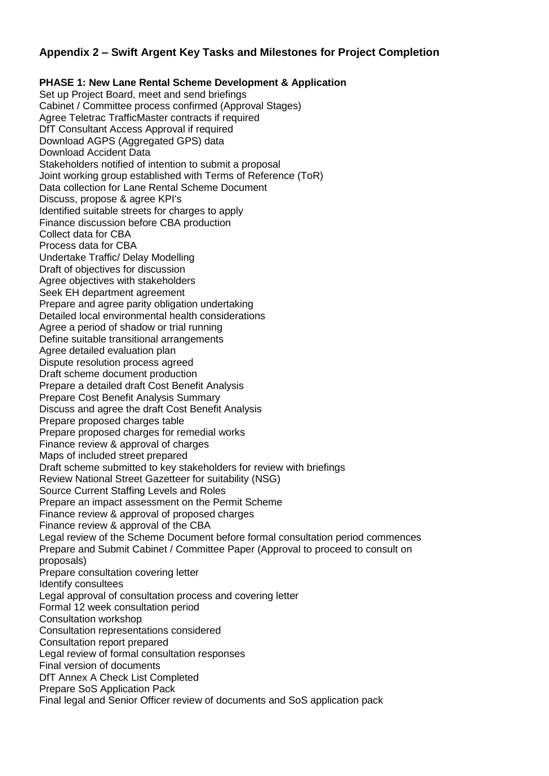## **Appendix 2 – Swift Argent Key Tasks and Milestones for Project Completion**

**PHASE 1: New Lane Rental Scheme Development & Application**  Set up Project Board, meet and send briefings Cabinet / Committee process confirmed (Approval Stages) Agree Teletrac TrafficMaster contracts if required DfT Consultant Access Approval if required Download AGPS (Aggregated GPS) data Download Accident Data Stakeholders notified of intention to submit a proposal Joint working group established with Terms of Reference (ToR) Data collection for Lane Rental Scheme Document Discuss, propose & agree KPI's Identified suitable streets for charges to apply Finance discussion before CBA production Collect data for CBA Process data for CBA Undertake Traffic/ Delay Modelling Draft of objectives for discussion Agree objectives with stakeholders Seek EH department agreement Prepare and agree parity obligation undertaking Detailed local environmental health considerations Agree a period of shadow or trial running Define suitable transitional arrangements Agree detailed evaluation plan Dispute resolution process agreed Draft scheme document production Prepare a detailed draft Cost Benefit Analysis Prepare Cost Benefit Analysis Summary Discuss and agree the draft Cost Benefit Analysis Prepare proposed charges table Prepare proposed charges for remedial works Finance review & approval of charges Maps of included street prepared Draft scheme submitted to key stakeholders for review with briefings Review National Street Gazetteer for suitability (NSG) Source Current Staffing Levels and Roles Prepare an impact assessment on the Permit Scheme Finance review & approval of proposed charges Finance review & approval of the CBA Legal review of the Scheme Document before formal consultation period commences Prepare and Submit Cabinet / Committee Paper (Approval to proceed to consult on proposals) Prepare consultation covering letter Identify consultees Legal approval of consultation process and covering letter Formal 12 week consultation period Consultation workshop Consultation representations considered Consultation report prepared Legal review of formal consultation responses Final version of documents DfT Annex A Check List Completed Prepare SoS Application Pack Final legal and Senior Officer review of documents and SoS application pack